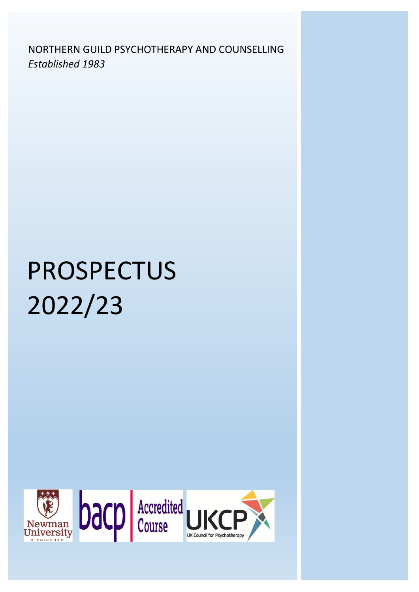*Established 1983*NORTHERN GUILD PSYCHOTHERAPY AND COUNSELLING

# PROSPECTUS 2022/23



1991 - Paul Barbara, amerikansk politiker (\* 1915)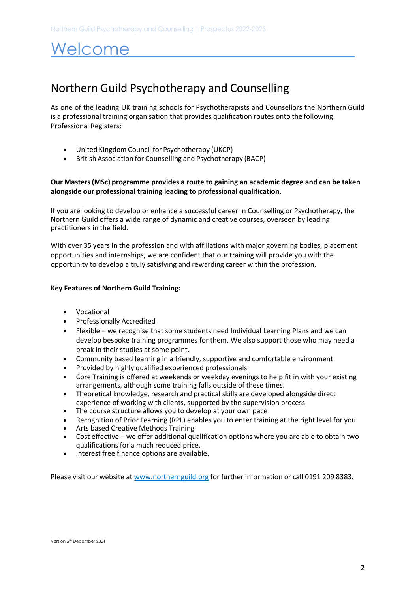## Welcome

## Northern Guild Psychotherapy and Counselling

As one of the leading UK training schools for Psychotherapists and Counsellors the Northern Guild is a professional training organisation that provides qualification routes onto the following Professional Registers:

- United Kingdom Council for Psychotherapy (UKCP)
- British Association for Counselling and Psychotherapy (BACP)

### **Our Masters (MSc) programme provides a route to gaining an academic degree and can be taken alongside our professional training leading to professional qualification.**

If you are looking to develop or enhance a successful career in Counselling or Psychotherapy, the Northern Guild offers a wide range of dynamic and creative courses, overseen by leading practitioners in the field.

With over 35 years in the profession and with affiliations with major governing bodies, placement opportunities and internships, we are confident that our training will provide you with the opportunity to develop a truly satisfying and rewarding career within the profession.

### **Key Features of Northern Guild Training:**

- Vocational
- Professionally Accredited
- Flexible we recognise that some students need Individual Learning Plans and we can develop bespoke training programmes for them. We also support those who may need a break in their studies at some point.
- Community based learning in a friendly, supportive and comfortable environment
- Provided by highly qualified experienced professionals
- Core Training is offered at weekends or weekday evenings to help fit in with your existing arrangements, although some training falls outside of these times.
- Theoretical knowledge, research and practical skills are developed alongside direct experience of working with clients, supported by the supervision process
- The course structure allows you to develop at your own pace
- Recognition of Prior Learning (RPL) enables you to enter training at the right level for you
- Arts based Creative Methods Training
- Cost effective we offer additional qualification options where you are able to obtain two qualifications for a much reduced price.
- Interest free finance options are available.

Please visit our website a[t www.northernguild.org](http://www.northernguild.org/) for further information or call 0191 209 8383.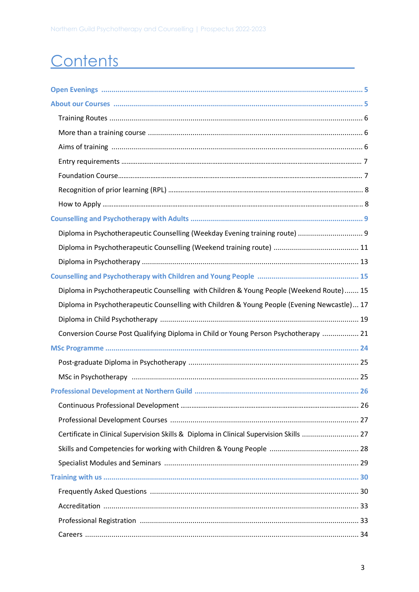## Contents **Contents**

| Diploma in Psychotherapeutic Counselling (Weekday Evening training route)  9                 |  |
|----------------------------------------------------------------------------------------------|--|
|                                                                                              |  |
|                                                                                              |  |
|                                                                                              |  |
| Diploma in Psychotherapeutic Counselling with Children & Young People (Weekend Route) 15     |  |
| Diploma in Psychotherapeutic Counselling with Children & Young People (Evening Newcastle) 17 |  |
|                                                                                              |  |
|                                                                                              |  |
| Conversion Course Post Qualifying Diploma in Child or Young Person Psychotherapy  21         |  |
|                                                                                              |  |
|                                                                                              |  |
|                                                                                              |  |
|                                                                                              |  |
|                                                                                              |  |
|                                                                                              |  |
| Certificate in Clinical Supervision Skills & Diploma in Clinical Supervision Skills  27      |  |
|                                                                                              |  |
|                                                                                              |  |
|                                                                                              |  |
|                                                                                              |  |
|                                                                                              |  |
|                                                                                              |  |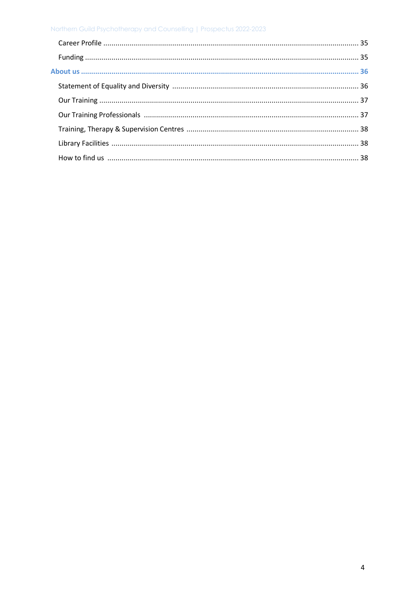### Northern Guild Psychotherapy and Counselling | Prospectus 2022-2023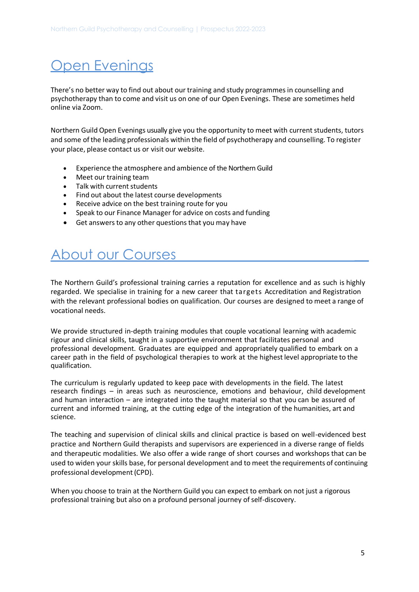## Open Evenings

There's no better way to find out about our training and study programmes in counselling and psychotherapy than to come and visit us on one of our Open Evenings. These are sometimes held online via Zoom.

Northern Guild Open Evenings usually give you the opportunity to meet with current students, tutors and some of the leading professionals within the field of psychotherapy and counselling. To register your place, please contact us or visit our website.

- Experience the atmosphere and ambience of the Northern Guild
- Meet our training team
- Talk with current students
- Find out about the latest course developments
- Receive advice on the best training route for you
- Speak to our Finance Manager for advice on costs and funding
- Get answers to any other questions that you may have

## About our Courses

The Northern Guild's professional training carries a reputation for excellence and as such is highly regarded. We specialise in training for a new career that targets Accreditation and Registration with the relevant professional bodies on qualification. Our courses are designed to meet a range of vocational needs.

We provide structured in-depth training modules that couple vocational learning with academic rigour and clinical skills, taught in a supportive environment that facilitates personal and professional development. Graduates are equipped and appropriately qualified to embark on a career path in the field of psychological therapies to work at the highest level appropriate to the qualification.

The curriculum is regularly updated to keep pace with developments in the field. The latest research findings – in areas such as neuroscience, emotions and behaviour, child development and human interaction – are integrated into the taught material so that you can be assured of current and informed training, at the cutting edge of the integration of the humanities, art and science.

The teaching and supervision of clinical skills and clinical practice is based on well-evidenced best practice and Northern Guild therapists and supervisors are experienced in a diverse range of fields and therapeutic modalities. We also offer a wide range of short courses and workshops that can be used to widen your skills base, for personal development and to meet the requirements of continuing professional development (CPD).

When you choose to train at the Northern Guild you can expect to embark on not just a rigorous professional training but also on a profound personal journey of self-discovery.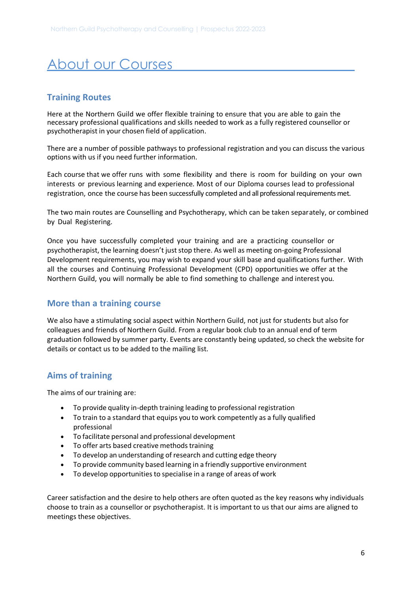## About our Courses

### **Training Routes**

Here at the Northern Guild we offer flexible training to ensure that you are able to gain the necessary professional qualifications and skills needed to work as a fully registered counsellor or psychotherapist in your chosen field of application.

There are a number of possible pathways to professional registration and you can discuss the various options with us if you need further information.

Each course that we offer runs with some flexibility and there is room for building on your own interests or previous learning and experience. Most of our Diploma courses lead to professional registration, once the course has been successfully completed and all professional requirements met.

The two main routes are Counselling and Psychotherapy, which can be taken separately, or combined by Dual Registering.

Once you have successfully completed your training and are a practicing counsellor or psychotherapist, the learning doesn't just stop there. As well as meeting on-going Professional Development requirements, you may wish to expand your skill base and qualifications further. With all the courses and Continuing Professional Development (CPD) opportunities we offer at the Northern Guild, you will normally be able to find something to challenge and interest you.

## **More than a training course**

We also have a stimulating social aspect within Northern Guild, not just for students but also for colleagues and friends of Northern Guild. From a regular book club to an annual end of term graduation followed by summer party. Events are constantly being updated, so check the website for details or contact us to be added to the mailing list.

## **Aims of training**

The aims of our training are:

- To provide quality in-depth training leading to professional registration
- To train to a standard that equips you to work competently as a fully qualified professional
- To facilitate personal and professional development
- To offer arts based creative methods training
- To develop an understanding of research and cutting edge theory
- To provide community based learning in a friendly supportive environment
- To develop opportunities to specialise in a range of areas of work

Career satisfaction and the desire to help others are often quoted as the key reasons why individuals choose to train as a counsellor or psychotherapist. It is important to us that our aims are aligned to meetings these objectives.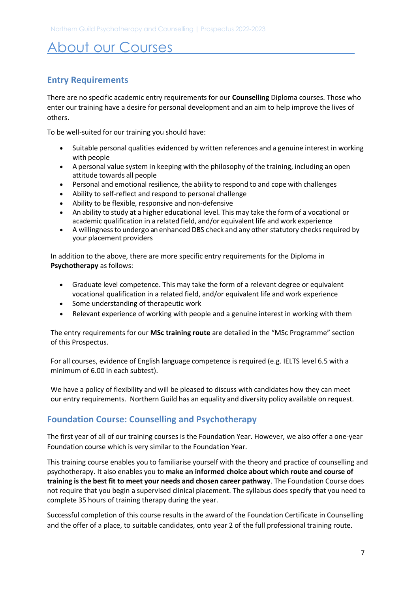## About our Courses

## **Entry Requirements**

There are no specific academic entry requirements for our **Counselling** Diploma courses. Those who enter our training have a desire for personal development and an aim to help improve the lives of others.

To be well-suited for our training you should have:

- Suitable personal qualities evidenced by written references and a genuine interest in working with people
- A personal value system in keeping with the philosophy of the training, including an open attitude towards all people
- Personal and emotional resilience, the ability to respond to and cope with challenges
- Ability to self-reflect and respond to personal challenge
- Ability to be flexible, responsive and non-defensive
- An ability to study at a higher educational level. This may take the form of a vocational or academic qualification in a related field, and/or equivalent life and work experience
- A willingness to undergo an enhanced DBS check and any other statutory checks required by your placement providers

In addition to the above, there are more specific entry requirements for the Diploma in **Psychotherapy** as follows:

- Graduate level competence. This may take the form of a relevant degree or equivalent vocational qualification in a related field, and/or equivalent life and work experience
- Some understanding of therapeutic work
- Relevant experience of working with people and a genuine interest in working with them

The entry requirements for our **MSc training route** are detailed in the "MSc Programme" section of this Prospectus.

For all courses, evidence of English language competence is required (e.g. IELTS level 6.5 with a minimum of 6.00 in each subtest).

We have a policy of flexibility and will be pleased to discuss with candidates how they can meet our entry requirements.Northern Guild has an equality and diversity policy available on request.

## **Foundation Course: Counselling and Psychotherapy**

The first year of all of our training courses is the Foundation Year. However, we also offer a one-year Foundation course which is very similar to the Foundation Year.

This training course enables you to familiarise yourself with the theory and practice of counselling and psychotherapy. It also enables you to **make an informed choice about which route and course of training is the best fit to meet your needs and chosen career pathway**. The Foundation Course does not require that you begin a supervised clinical placement. The syllabus does specify that you need to complete 35 hours of training therapy during the year.

Successful completion of this course results in the award of the Foundation Certificate in Counselling and the offer of a place, to suitable candidates, onto year 2 of the full professional training route.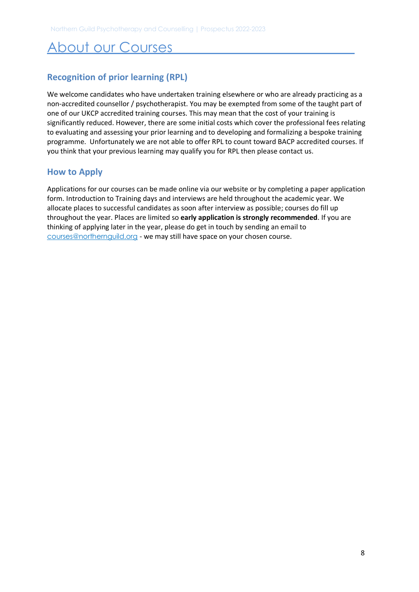## About our Courses

## **Recognition of prior learning (RPL)**

We welcome candidates who have undertaken training elsewhere or who are already practicing as a non-accredited counsellor / psychotherapist. You may be exempted from some of the taught part of one of our UKCP accredited training courses. This may mean that the cost of your training is significantly reduced. However, there are some initial costs which cover the professional fees relating to evaluating and assessing your prior learning and to developing and formalizing a bespoke training programme. Unfortunately we are not able to offer RPL to count toward BACP accredited courses. If you think that your previous learning may qualify you for RPL then please contact us.

## **How to Apply**

Applications for our courses can be made online via our website or by completing a paper application form. Introduction to Training days and interviews are held throughout the academic year. We allocate places to successful candidates as soon after interview as possible; courses do fill up throughout the year. Places are limited so **early application is strongly recommended**. If you are thinking of applying later in the year, please do get in touch by sending an email to [courses@northernguild.org](mailto:courses@northernguild.org) - we may still have space on your chosen course.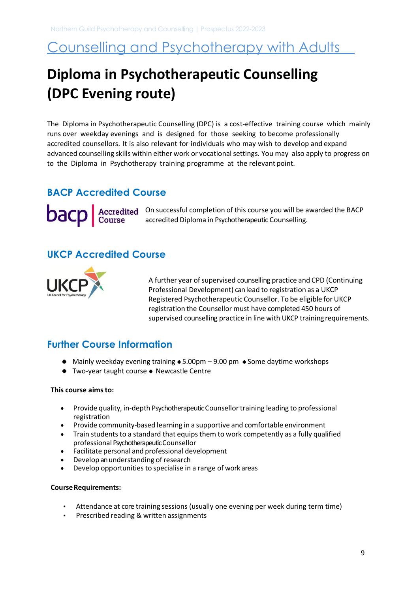## <span id="page-8-0"></span>**Diploma in Psychotherapeutic Counselling (DPC Evening route)**

The Diploma in Psychotherapeutic Counselling (DPC) is a cost-effective training course which mainly runs over weekday evenings and is designed for those seeking to become professionally accredited counsellors. It is also relevant for individuals who may wish to develop and expand advanced counselling skills within either work or vocational settings. You may also apply to progress on to the Diploma in Psychotherapy training programme at the relevant point.

## **BACP Accredited Course**

On successful completion of this course you will be awarded the BACP accredited Diploma in Psychotherapeutic Counselling.

## **UKCP Accredited Course**



A further year of supervised counselling practice and CPD (Continuing Professional Development) can lead to registration as a UKCP Registered Psychotherapeutic Counsellor. To be eligible for UKCP registration the Counsellor must have completed 450 hours of supervised counselling practice in line with UKCP training requirements.

## **Further Course Information**

- $\bullet$  Mainly weekday evening training  $\bullet$  5.00pm 9.00 pm  $\bullet$  Some daytime workshops
- Two-year taught course Newcastle Centre

### **This course aims to:**

- Provide quality, in-depth Psychotherapeutic Counsellor training leading to professional registration
- Provide community-based learning in a supportive and comfortable environment
- Train students to a standard that equips them to work competently as a fully qualified professional PsychotherapeuticCounsellor
- Facilitate personal and professional development
- Develop an understanding of research
- Develop opportunities to specialise in a range of work areas

#### **Course Requirements:**

- Attendance at core training sessions (usually one evening per week during term time)
- Prescribed reading & written assignments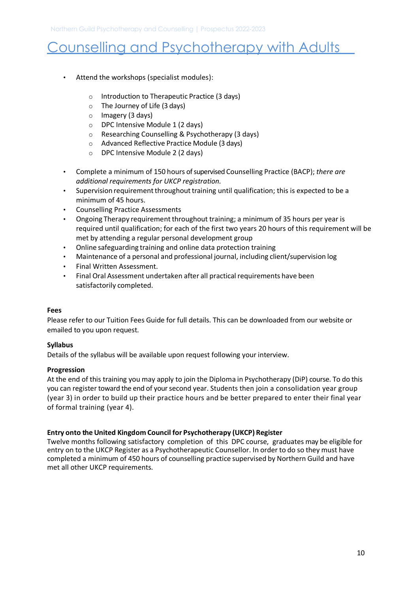- Attend the workshops (specialist modules):
	- o Introduction to Therapeutic Practice (3 days)
	- o The Journey of Life (3 days)
	- o Imagery (3 days)
	- o DPC Intensive Module 1 (2 days)
	- o Researching Counselling & Psychotherapy (3 days)
	- o Advanced Reflective Practice Module (3 days)
	- o DPC Intensive Module 2 (2 days)
- Complete a minimum of 150 hours of supervised Counselling Practice (BACP); *there are additional requirements for UKCP registration.*
- Supervision requirement throughout training until qualification; this is expected to be a minimum of 45 hours.
- Counselling Practice Assessments
- Ongoing Therapy requirement throughout training; a minimum of 35 hours per year is required until qualification; for each of the first two years 20 hours of this requirement will be met by attending a regular personal development group
- Online safeguarding training and online data protection training
- Maintenance of a personal and professional journal, including client/supervision log
- Final Written Assessment.
- Final Oral Assessment undertaken after all practical requirements have been satisfactorily completed.

### **Fees**

Please refer to our Tuition Fees Guide for full details. This can be downloaded from our website or emailed to you upon request.

### **Syllabus**

Details of the syllabus will be available upon request following your interview.

### **Progression**

At the end of this training you may apply to join the Diploma in Psychotherapy (DiP) course. To do this you can register toward the end of your second year. Students then join a consolidation year group (year 3) in order to build up their practice hours and be better prepared to enter their final year of formal training (year 4).

### **Entry onto the United Kingdom Council for Psychotherapy (UKCP) Register**

Twelve months following satisfactory completion of this DPC course, graduates may be eligible for entry on to the UKCP Register as a Psychotherapeutic Counsellor. In order to do so they must have completed a minimum of 450 hours of counselling practice supervised by Northern Guild and have met all other UKCP requirements.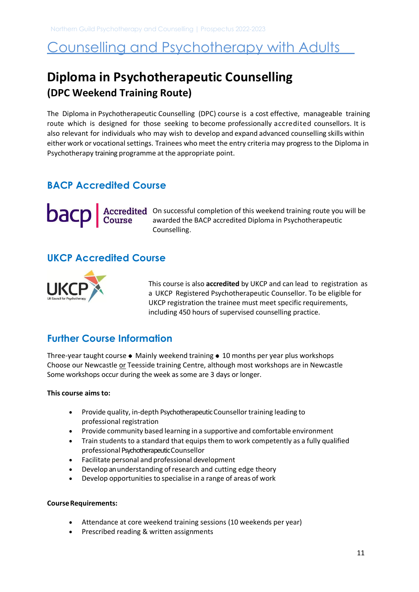## <span id="page-10-0"></span>**Diploma in Psychotherapeutic Counselling (DPC Weekend Training Route)**

The Diploma in Psychotherapeutic Counselling (DPC) course is a cost effective, manageable training route which is designed for those seeking to become professionally accredited counsellors. It is also relevant for individuals who may wish to develop and expand advanced counselling skills within either work or vocational settings. Trainees who meet the entry criteria may progress to the Diploma in Psychotherapy training programme at the appropriate point.

## **BACP Accredited Course**

On successful completion of this weekend training route you will be awarded the BACP accredited Diploma in Psychotherapeutic Counselling.

## **UKCP Accredited Course**



This course is also **accredited** by UKCP and can lead to registration as a UKCP Registered Psychotherapeutic Counsellor. To be eligible for UKCP registration the trainee must meet specific requirements, including 450 hours of supervised counselling practice.

## **Further Course Information**

Three-year taught course  $\bullet$  Mainly weekend training  $\bullet$  10 months per year plus workshops Choose our Newcastle or Teesside training Centre, although most workshops are in Newcastle Some workshops occur during the week as some are 3 days or longer.

#### **This course aims to:**

- Provide quality, in-depth Psychotherapeutic Counsellor training leading to professional registration
- Provide community based learning in a supportive and comfortable environment
- Train students to a standard that equips them to work competently as a fully qualified professional Psychotherapeutic Counsellor
- Facilitate personal and professional development
- Develop an understanding ofresearch and cutting edge theory
- Develop opportunities to specialise in a range of areas of work

#### **Course Requirements:**

- Attendance at core weekend training sessions (10 weekends per year)
- Prescribed reading & written assignments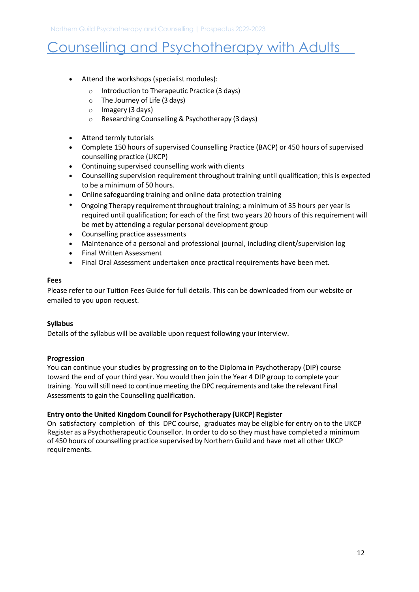- Attend the workshops (specialist modules):
	- o Introduction to Therapeutic Practice (3 days)
	- o The Journey of Life (3 days)
	- o Imagery (3 days)
	- o Researching Counselling & Psychotherapy (3 days)
- Attend termly tutorials
- Complete 150 hours of supervised Counselling Practice (BACP) or 450 hours of supervised counselling practice (UKCP)
- Continuing supervised counselling work with clients
- Counselling supervision requirement throughout training until qualification; this is expected to be a minimum of 50 hours.
- Online safeguarding training and online data protection training
- Ongoing Therapy requirement throughout training; a minimum of 35 hours per year is required until qualification; for each of the first two years 20 hours of this requirement will be met by attending a regular personal development group
- Counselling practice assessments
- Maintenance of a personal and professional journal, including client/supervision log
- Final Written Assessment
- Final Oral Assessment undertaken once practical requirements have been met.

### **Fees**

Please refer to our Tuition Fees Guide for full details. This can be downloaded from our website or emailed to you upon request.

### **Syllabus**

Details of the syllabus will be available upon request following your interview.

### **Progression**

You can continue your studies by progressing on to the Diploma in Psychotherapy (DiP) course toward the end of your third year. You would then join the Year 4 DIP group to complete your training. You will still need to continue meeting the DPC requirements and take the relevant Final Assessments to gain the Counselling qualification.

### **Entry onto the United Kingdom Council for Psychotherapy (UKCP) Register**

On satisfactory completion of this DPC course, graduates may be eligible for entry on to the UKCP Register as a Psychotherapeutic Counsellor. In order to do so they must have completed a minimum of 450 hours of counselling practice supervised by Northern Guild and have met all other UKCP requirements.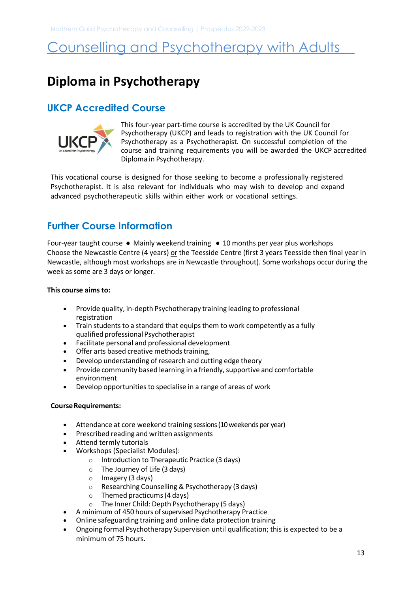## <span id="page-12-0"></span>**Diploma in Psychotherapy**

## **UKCP Accredited Course**



This four-year part-time course is accredited by the UK Council for Psychotherapy (UKCP) and leads to registration with the UK Council for Psychotherapy as a Psychotherapist. On successful completion of the course and training requirements you will be awarded the UKCP accredited Diploma in Psychotherapy.

This vocational course is designed for those seeking to become a professionally registered Psychotherapist. It is also relevant for individuals who may wish to develop and expand advanced psychotherapeutic skills within either work or vocational settings.

## **Further Course Information**

Four-year taught course  $\bullet$  Mainly weekend training  $\bullet$  10 months per year plus workshops Choose the Newcastle Centre (4 years) or the Teesside Centre (first 3 years Teesside then final year in Newcastle, although most workshops are in Newcastle throughout). Some workshops occur during the week as some are 3 days or longer.

### **This course aims to:**

- Provide quality, in-depth Psychotherapy training leading to professional registration
- Train students to a standard that equips them to work competently as a fully qualified professional Psychotherapist
- Facilitate personal and professional development
- Offer arts based creative methods training,
- Develop understanding of research and cutting edge theory
- Provide community based learning in a friendly, supportive and comfortable environment
- Develop opportunities to specialise in a range of areas of work

#### **Course Requirements:**

- Attendance at core weekend training sessions (10 weekends per year)
- Prescribed reading and written assignments
- Attend termly tutorials
- Workshops (Specialist Modules):
	- o Introduction to Therapeutic Practice (3 days)
	- $\circ$  The Journey of Life (3 days)
	- o Imagery (3 days)
	- o Researching Counselling & Psychotherapy (3 days)
	- o Themed practicums (4 days)
	- o The Inner Child: Depth Psychotherapy (5 days)
- A minimum of 450 hours of supervised Psychotherapy Practice
- Online safeguarding training and online data protection training
- Ongoing formal Psychotherapy Supervision until qualification; this is expected to be a minimum of 75 hours.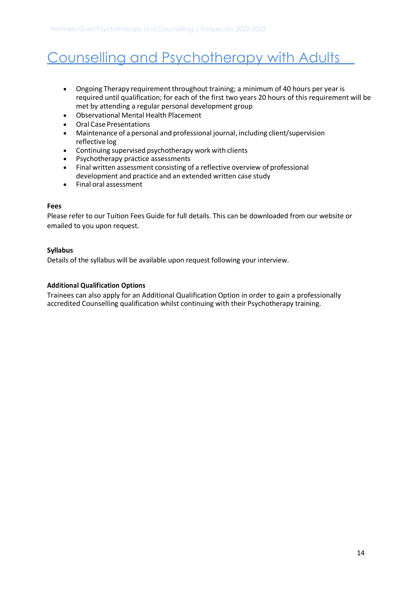- Ongoing Therapy requirement throughout training; a minimum of 40 hours per year is required until qualification; for each of the first two years 20 hours of this requirement will be met by attending a regular personal development group
- Observational Mental Health Placement
- Oral Case Presentations
- Maintenance of a personal and professional journal, including client/supervision reflective log
- Continuing supervised psychotherapy work with clients
- Psychotherapy practice assessments
- Final written assessment consisting of a reflective overview of professional development and practice and an extended written case study
- Final oral assessment

### **Fees**

Please refer to our Tuition Fees Guide for full details. This can be downloaded from our website or emailed to you upon request.

### **Syllabus**

Details of the syllabus will be available upon request following your interview.

### **Additional Qualification Options**

Trainees can also apply for an Additional Qualification Option in order to gain a professionally accredited Counselling qualification whilst continuing with their Psychotherapy training.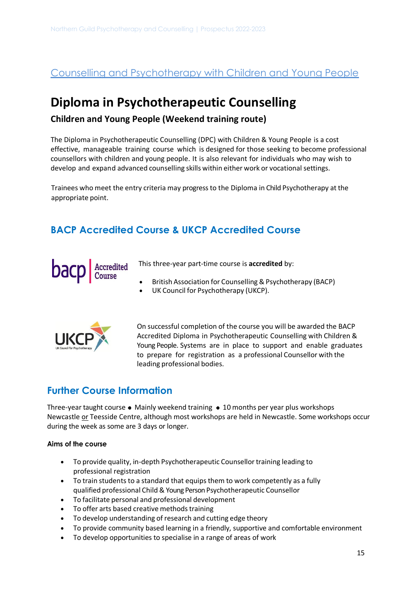## <span id="page-14-1"></span><span id="page-14-0"></span>**Diploma in Psychotherapeutic Counselling**

## **Children and Young People (Weekend training route)**

The Diploma in Psychotherapeutic Counselling (DPC) with Children & Young People is a cost effective, manageable training course which is designed for those seeking to become professional counsellors with children and young people. It is also relevant for individuals who may wish to develop and expand advanced counselling skills within either work or vocational settings.

Trainees who meet the entry criteria may progress to the Diploma in Child Psychotherapy at the appropriate point.

## **BACP Accredited Course & UKCP Accredited Course**



This three-year part-time course is **accredited** by:

- British Association for Counselling & Psychotherapy (BACP)
- UK Council for Psychotherapy (UKCP).



On successful completion of the course you will be awarded the BACP Accredited Diploma in Psychotherapeutic Counselling with Children & Young People. Systems are in place to support and enable graduates to prepare for registration as a professional Counsellor with the leading professional bodies.

## **Further Course Information**

Three-year taught course  $\bullet$  Mainly weekend training  $\bullet$  10 months per year plus workshops Newcastle or Teesside Centre, although most workshops are held in Newcastle. Some workshops occur during the week as some are 3 days or longer.

#### **Aims of the course**

- To provide quality, in-depth Psychotherapeutic Counsellor training leading to professional registration
- To train students to a standard that equips them to work competently as a fully qualified professional Child & Young Person Psychotherapeutic Counsellor
- To facilitate personal and professional development
- To offer arts based creative methods training
- To develop understanding of research and cutting edge theory
- To provide community based learning in a friendly, supportive and comfortable environment
- To develop opportunities to specialise in a range of areas of work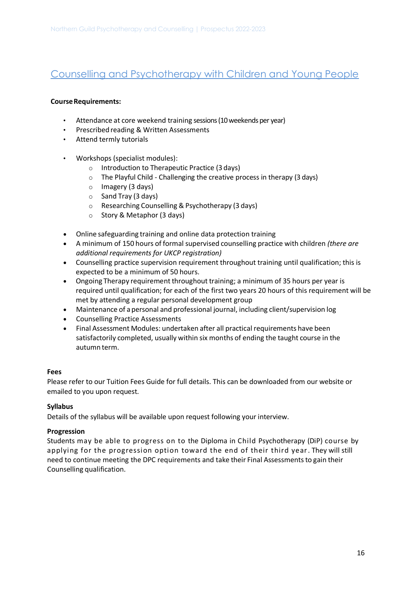### **Course Requirements:**

- Attendance at core weekend training sessions (10 weekends per year)
- Prescribed reading & Written Assessments
- Attend termly tutorials
- Workshops (specialist modules):
	- o Introduction to Therapeutic Practice (3 days)
	- o The Playful Child Challenging the creative process in therapy (3 days)
	- o Imagery (3 days)
	- o Sand Tray (3 days)
	- o Researching Counselling & Psychotherapy (3 days)
	- o Story & Metaphor (3 days)
- Online safeguarding training and online data protection training
- A minimum of 150 hours of formal supervised counselling practice with children *(there are additional requirements for UKCP registration)*
- Counselling practice supervision requirement throughout training until qualification; this is expected to be a minimum of 50 hours.
- Ongoing Therapy requirement throughout training; a minimum of 35 hours per year is required until qualification; for each of the first two years 20 hours of this requirement will be met by attending a regular personal development group
- Maintenance of a personal and professional journal, including client/supervision log
- Counselling Practice Assessments
- Final Assessment Modules: undertaken after all practical requirements have been satisfactorily completed, usually within six months of ending the taught course in the autumn term.

#### **Fees**

Please refer to our Tuition Fees Guide for full details. This can be downloaded from our website or emailed to you upon request.

#### **Syllabus**

Details of the syllabus will be available upon request following your interview.

#### **Progression**

Students may be able to progress on to the Diploma in Child Psychotherapy (DiP) course by applying for the progression option toward the end of their third year . They will still need to continue meeting the DPC requirements and take their Final Assessments to gain their Counselling qualification.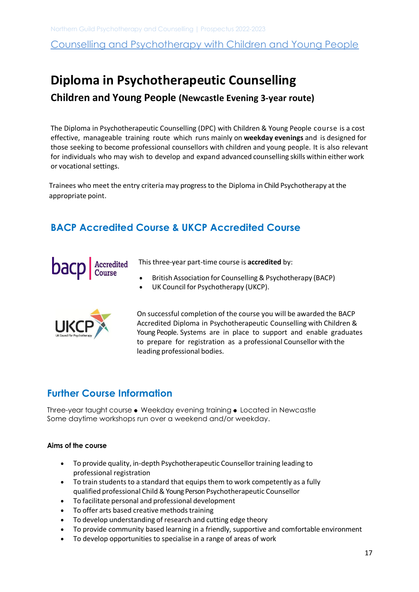## <span id="page-16-0"></span>**Diploma in Psychotherapeutic Counselling**

## **Children and Young People (Newcastle Evening 3-year route)**

The Diploma in Psychotherapeutic Counselling (DPC) with Children & Young People course is a cost effective, manageable training route which runs mainly on **weekday evenings** and is designed for those seeking to become professional counsellors with children and young people. It is also relevant for individuals who may wish to develop and expand advanced counselling skills within either work or vocational settings.

Trainees who meet the entry criteria may progress to the Diploma in Child Psychotherapy at the appropriate point.

## **BACP Accredited Course & UKCP Accredited Course**



This three-year part-time course is **accredited** by:

- British Association for Counselling & Psychotherapy (BACP)
- UK Council for Psychotherapy (UKCP).



On successful completion of the course you will be awarded the BACP Accredited Diploma in Psychotherapeutic Counselling with Children & Young People. Systems are in place to support and enable graduates to prepare for registration as a professional Counsellor with the leading professional bodies.

## **Further Course Information**

Three-year taught course • Weekday evening training • Located in Newcastle Some daytime workshops run over a weekend and/or weekday.

#### **Aims of the course**

- To provide quality, in-depth Psychotherapeutic Counsellor training leading to professional registration
- To train students to a standard that equips them to work competently as a fully qualified professional Child & Young Person Psychotherapeutic Counsellor
- To facilitate personal and professional development
- To offer arts based creative methods training
- To develop understanding of research and cutting edge theory
- To provide community based learning in a friendly, supportive and comfortable environment
- To develop opportunities to specialise in a range of areas of work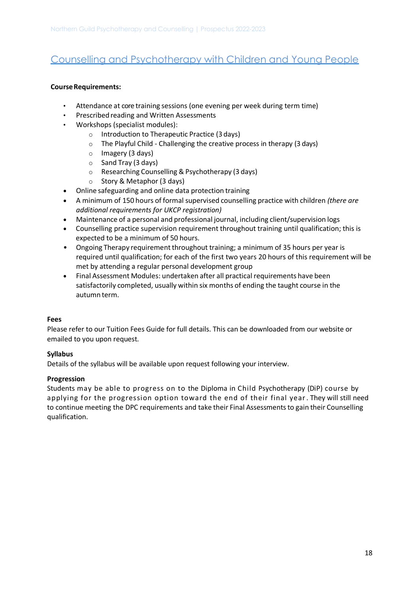### **Course Requirements:**

- Attendance at core training sessions (one evening per week during term time)
- Prescribed reading and Written Assessments
- Workshops (specialist modules):
	- o Introduction to Therapeutic Practice (3 days)
	- o The Playful Child Challenging the creative process in therapy (3 days)
	- o Imagery (3 days)
	- o Sand Tray (3 days)
	- o Researching Counselling & Psychotherapy (3 days)
	- o Story & Metaphor (3 days)
- Online safeguarding and online data protection training
- A minimum of 150 hours of formal supervised counselling practice with children *(there are additional requirements for UKCP registration)*
- Maintenance of a personal and professional journal, including client/supervision logs
- Counselling practice supervision requirement throughout training until qualification; this is expected to be a minimum of 50 hours.
- Ongoing Therapy requirement throughout training; a minimum of 35 hours per year is required until qualification; for each of the first two years 20 hours of this requirement will be met by attending a regular personal development group
- Final Assessment Modules: undertaken after all practical requirements have been satisfactorily completed, usually within six months of ending the taught course in the autumn term.

#### **Fees**

Please refer to our Tuition Fees Guide for full details. This can be downloaded from our website or emailed to you upon request.

#### **Syllabus**

Details of the syllabus will be available upon request following your interview.

#### **Progression**

Students may be able to progress on to the Diploma in Child Psychotherapy (DiP) course by applying for the progression option toward the end of their final year . They will still need to continue meeting the DPC requirements and take their Final Assessments to gain their Counselling qualification.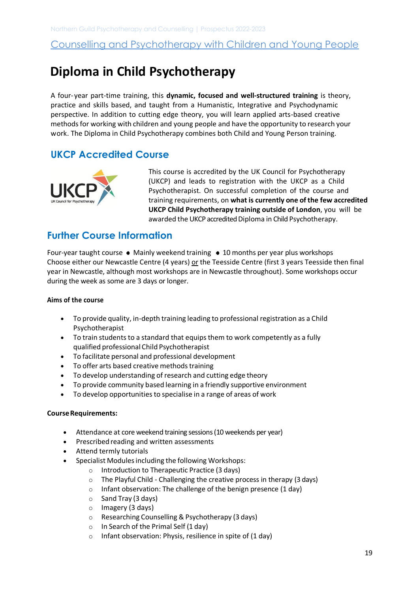## <span id="page-18-0"></span> **Diploma in Child Psychotherapy**

A four-year part-time training, this **dynamic, focused and well-structured training** is theory, practice and skills based, and taught from a Humanistic, Integrative and Psychodynamic perspective. In addition to cutting edge theory, you will learn applied arts-based creative methods for working with children and young people and have the opportunity to research your work. The Diploma in Child Psychotherapy combines both Child and Young Person training.

## **UKCP Accredited Course**



This course is accredited by the UK Council for Psychotherapy (UKCP) and leads to registration with the UKCP as a Child Psychotherapist. On successful completion of the course and training requirements, on **what is currently one of the few accredited UKCP Child Psychotherapy training outside of London**, you will be awarded the UKCP accredited Diploma in Child Psychotherapy.

## **Further Course Information**

Four-year taught course  $\bullet$  Mainly weekend training  $\bullet$  10 months per year plus workshops Choose either our Newcastle Centre (4 years) or the Teesside Centre (first 3 years Teesside then final year in Newcastle, although most workshops are in Newcastle throughout). Some workshops occur during the week as some are 3 days or longer.

#### **Aims of the course**

- To provide quality, in-depth training leading to professional registration as a Child Psychotherapist
- To train students to a standard that equips them to work competently as a fully qualified professional Child Psychotherapist
- To facilitate personal and professional development
- To offer arts based creative methods training
- To develop understanding of research and cutting edge theory
- To provide community based learning in a friendly supportive environment
- To develop opportunities to specialise in a range of areas of work

### **Course Requirements:**

- Attendance at core weekend training sessions (10 weekends per year)
- Prescribed reading and written assessments
- Attend termly tutorials
- Specialist Modules including the following Workshops:
	- o Introduction to Therapeutic Practice (3 days)
	- o The Playful Child Challenging the creative process in therapy (3 days)
	- $\circ$  Infant observation: The challenge of the benign presence (1 day)
	- o Sand Tray (3 days)
	- o Imagery (3 days)
	- o Researching Counselling & Psychotherapy (3 days)
	- $\circ$  In Search of the Primal Self (1 day)
	- o Infant observation: Physis, resilience in spite of (1 day)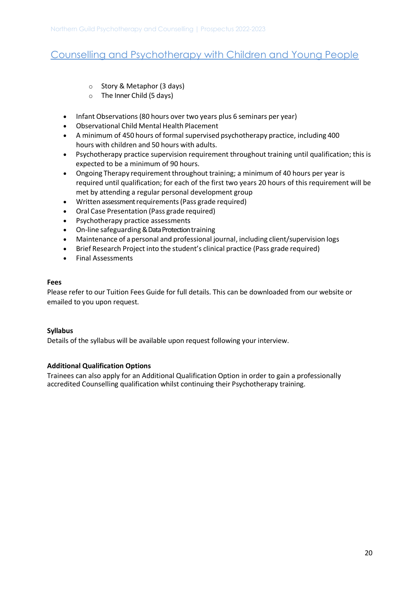- o Story & Metaphor (3 days)
- o The Inner Child (5 days)
- Infant Observations (80 hours over two years plus 6 seminars per year)
- Observational Child Mental Health Placement
- A minimum of 450 hours of formal supervised psychotherapy practice, including 400 hours with children and 50 hours with adults.
- Psychotherapy practice supervision requirement throughout training until qualification; this is expected to be a minimum of 90 hours.
- Ongoing Therapy requirement throughout training; a minimum of 40 hours per year is required until qualification; for each of the first two years 20 hours of this requirement will be met by attending a regular personal development group
- Written assessment requirements (Pass grade required)
- Oral Case Presentation (Pass grade required)
- Psychotherapy practice assessments
- On-line safeguarding & Data Protection training
- Maintenance of a personal and professional journal, including client/supervision logs
- Brief Research Project into the student's clinical practice (Pass grade required)
- Final Assessments

#### **Fees**

Please refer to our Tuition Fees Guide for full details. This can be downloaded from our website or emailed to you upon request.

#### **Syllabus**

Details of the syllabus will be available upon request following your interview.

#### **Additional Qualification Options**

Trainees can also apply for an Additional Qualification Option in order to gain a professionally accredited Counselling qualification whilst continuing their Psychotherapy training.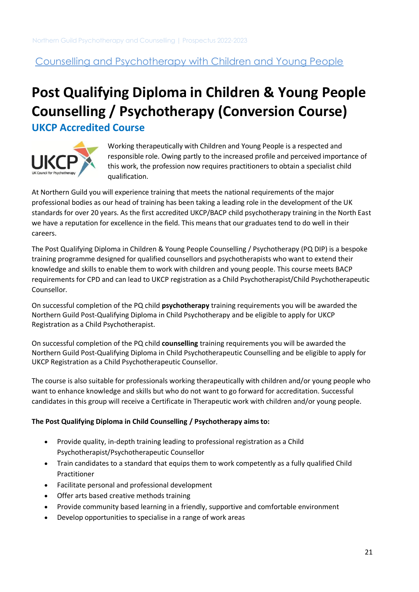## <span id="page-20-0"></span>**Post Qualifying Diploma in Children & Young People Counselling / Psychotherapy (Conversion Course) UKCP Accredited Course**



Working therapeutically with Children and Young People is a respected and responsible role. Owing partly to the increased profile and perceived importance of this work, the profession now requires practitioners to obtain a specialist child qualification.

<span id="page-20-1"></span>At Northern Guild you will experience training that meets the national requirements of the major professional bodies as our head of training has been taking a leading role in the development of the UK standards for over 20 years. As the first accredited UKCP/BACP child psychotherapy training in the North East we have a reputation for excellence in the field. This means that our graduates tend to do well in their careers.

The Post Qualifying Diploma in Children & Young People Counselling / Psychotherapy (PQ DIP) is a bespoke training programme designed for qualified counsellors and psychotherapists who want to extend their knowledge and skills to enable them to work with children and young people. This course meets BACP requirements for CPD and can lead to UKCP registration as a Child Psychotherapist/Child Psychotherapeutic Counsellor.

On successful completion of the PQ child **psychotherapy** training requirements you will be awarded the Northern Guild Post-Qualifying Diploma in Child Psychotherapy and be eligible to apply for UKCP Registration as a Child Psychotherapist.

On successful completion of the PQ child **counselling** training requirements you will be awarded the Northern Guild Post-Qualifying Diploma in Child Psychotherapeutic Counselling and be eligible to apply for UKCP Registration as a Child Psychotherapeutic Counsellor.

The course is also suitable for professionals working therapeutically with children and/or young people who want to enhance knowledge and skills but who do not want to go forward for accreditation. Successful candidates in this group will receive a Certificate in Therapeutic work with children and/or young people.

### **The Post Qualifying Diploma in Child Counselling / Psychotherapy aims to:**

- Provide quality, in-depth training leading to professional registration as a Child Psychotherapist/Psychotherapeutic Counsellor
- Train candidates to a standard that equips them to work competently as a fully qualified Child Practitioner
- Facilitate personal and professional development
- Offer arts based creative methods training
- Provide community based learning in a friendly, supportive and comfortable environment
- Develop opportunities to specialise in a range of work areas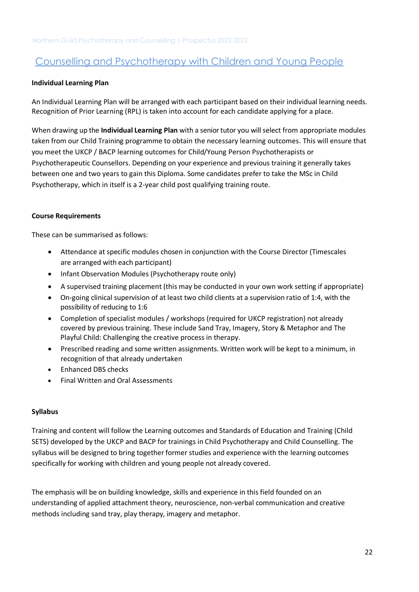### **Individual Learning Plan**

An Individual Learning Plan will be arranged with each participant based on their individual learning needs. Recognition of Prior Learning (RPL) is taken into account for each candidate applying for a place.

When drawing up the **Individual Learning Plan** with a senior tutor you will select from appropriate modules taken from our Child Training programme to obtain the necessary learning outcomes. This will ensure that you meet the UKCP / BACP learning outcomes for Child/Young Person Psychotherapists or Psychotherapeutic Counsellors. Depending on your experience and previous training it generally takes between one and two years to gain this Diploma. Some candidates prefer to take the MSc in Child Psychotherapy, which in itself is a 2-year child post qualifying training route.

### **Course Requirements**

These can be summarised as follows:

- Attendance at specific modules chosen in conjunction with the Course Director (Timescales are arranged with each participant)
- Infant Observation Modules (Psychotherapy route only)
- A supervised training placement (this may be conducted in your own work setting if appropriate)
- On-going clinical supervision of at least two child clients at a supervision ratio of 1:4, with the possibility of reducing to 1:6
- Completion of specialist modules / workshops (required for UKCP registration) not already covered by previous training. These include Sand Tray, Imagery, Story & Metaphor and The Playful Child: Challenging the creative process in therapy.
- Prescribed reading and some written assignments. Written work will be kept to a minimum, in recognition of that already undertaken
- Enhanced DBS checks
- Final Written and Oral Assessments

#### **Syllabus**

Training and content will follow the Learning outcomes and Standards of Education and Training (Child SETS) developed by the UKCP and BACP for trainings in Child Psychotherapy and Child Counselling. The syllabus will be designed to bring together former studies and experience with the learning outcomes specifically for working with children and young people not already covered.

The emphasis will be on building knowledge, skills and experience in this field founded on an understanding of applied attachment theory, neuroscience, non-verbal communication and creative methods including sand tray, play therapy, imagery and metaphor.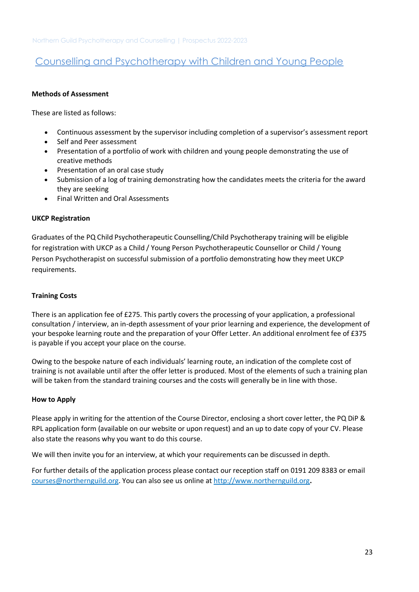### **Methods of Assessment**

These are listed as follows:

- Continuous assessment by the supervisor including completion of a supervisor's assessment report
- Self and Peer assessment
- Presentation of a portfolio of work with children and young people demonstrating the use of creative methods
- Presentation of an oral case study
- Submission of a log of training demonstrating how the candidates meets the criteria for the award they are seeking
- Final Written and Oral Assessments

### **UKCP Registration**

Graduates of the PQ Child Psychotherapeutic Counselling/Child Psychotherapy training will be eligible for registration with UKCP as a Child / Young Person Psychotherapeutic Counsellor or Child / Young Person Psychotherapist on successful submission of a portfolio demonstrating how they meet UKCP requirements.

### **Training Costs**

There is an application fee of £275. This partly covers the processing of your application, a professional consultation / interview, an in-depth assessment of your prior learning and experience, the development of your bespoke learning route and the preparation of your Offer Letter. An additional enrolment fee of £375 is payable if you accept your place on the course.

Owing to the bespoke nature of each individuals' learning route, an indication of the complete cost of training is not available until after the offer letter is produced. Most of the elements of such a training plan will be taken from the standard training courses and the costs will generally be in line with those.

#### **How to Apply**

Please apply in writing for the attention of the Course Director, enclosing a short cover letter, the PQ DiP & RPL application form (available on our website or upon request) and an up to date copy of your CV. Please also state the reasons why you want to do this course.

We will then invite you for an interview, at which your requirements can be discussed in depth.

For further details of the application process please contact our reception staff on 0191 209 8383 or email [courses@northernguild.org.](mailto:courses@northernguild.org) You can also see us online a[t http://www.northernguild.org](http://www.northernguild.org/)**.**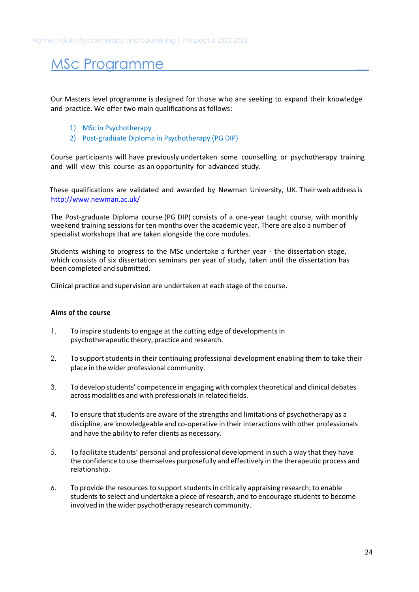## MSc Programme

Our Masters level programme is designed for those who are seeking to expand their knowledge and practice. We offer two main qualifications as follows:

- 1) MSc in Psychotherapy
- 2) Post-graduate Diploma in Psychotherapy (PG DIP)

<span id="page-23-0"></span>Course participants will have previously undertaken some counselling or psychotherapy training and will view this course as an opportunity for advanced study.

 These qualifications are validated and awarded by Newman University, UK. Their web address is <http://www.newman.ac.uk/>

The Post-graduate Diploma course (PG DIP) consists of a one-year taught course, with monthly weekend training sessions for ten months over the academic year. There are also a number of specialist workshops that are taken alongside the core modules.

Students wishing to progress to the MSc undertake a further year - the dissertation stage, which consists of six dissertation seminars per year of study, taken until the dissertation has been completed and submitted.

Clinical practice and supervision are undertaken at each stage of the course.

#### **Aims of the course**

- 1. To inspire students to engage at the cutting edge of developments in psychotherapeutic theory, practice and research.
- 2. To support students in their continuing professional development enabling them to take their place in the wider professional community.
- 3. To develop students' competence in engaging with complex theoretical and clinical debates across modalities and with professionals in related fields.
- 4. To ensure that students are aware of the strengths and limitations of psychotherapy as a discipline, are knowledgeable and co-operative in their interactions with other professionals and have the ability to refer clients as necessary.
- 5. To facilitate students' personal and professional development in such a way that they have the confidence to use themselves purposefully and effectively in the therapeutic process and relationship.
- 6. To provide the resources to support students in critically appraising research; to enable students to select and undertake a piece of research, and to encourage students to become involved in the wider psychotherapy research community.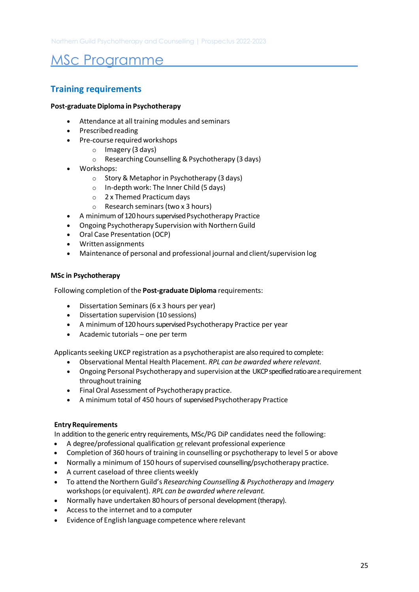## MSc Programme

## **Training requirements**

### **Post-graduate Diploma in Psychotherapy**

- Attendance at all training modules and seminars
- Prescribed reading
- Pre-course required workshops
	- o Imagery (3 days)
	- o Researching Counselling & Psychotherapy (3 days)
- Workshops:
	- o Story & Metaphor in Psychotherapy (3 days)
	- o In-depth work: The Inner Child (5 days)
	- o 2 x Themed Practicum days
	- o Research seminars (two x 3 hours)
- A minimum of 120 hours supervised Psychotherapy Practice
- Ongoing Psychotherapy Supervision with Northern Guild
- Oral Case Presentation (OCP)
- Writtenassignments
- Maintenance of personal and professional journal and client/supervision log

### **MSc in Psychotherapy**

Following completion of the **Post-graduate Diploma** requirements:

- Dissertation Seminars (6 x 3 hours per year)
- Dissertation supervision (10 sessions)
- A minimum of 120 hours supervised Psychotherapy Practice per year
- Academic tutorials one per term

Applicants seeking UKCP registration as a psychotherapist are also required to complete:

- Observational Mental Health Placement. *RPL can be awarded where relevant.*
- Ongoing Personal Psychotherapy and supervision at the UKCP specified ratio are a requirement throughout training
- Final Oral Assessment of Psychotherapy practice.
- A minimum total of 450 hours of supervised Psychotherapy Practice

#### **Entry Requirements**

In addition to the generic entry requirements, MSc/PG DiP candidates need the following:

- A degree/professional qualification or relevant professional experience
- Completion of 360 hours of training in counselling or psychotherapy to level 5 or above
- Normally a minimum of 150 hours of supervised counselling/psychotherapy practice.
- A current caseload of three clients weekly
- To attend the Northern Guild's *Researching Counselling & Psychotherapy* and *Imagery* workshops (or equivalent). *RPL can be awarded where relevant.*
- Normally have undertaken 80 hours of personal development (therapy).
- Access to the internet and to a computer
- Evidence of English language competence where relevant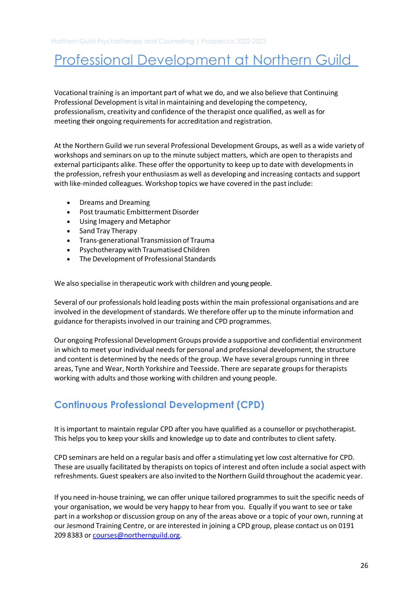<span id="page-25-0"></span>Vocational training is an important part of what we do, and we also believe that Continuing Professional Development is vital in maintaining and developing the competency, professionalism, creativity and confidence of the therapist once qualified, as well as for meeting their ongoing requirements for accreditation and registration.

At the Northern Guild we run several Professional Development Groups, as well as a wide variety of workshops and seminars on up to the minute subject matters, which are open to therapists and external participants alike. These offer the opportunity to keep up to date with developments in the profession, refresh your enthusiasm as well as developing and increasing contacts and support with like-minded colleagues. Workshop topics we have covered in the past include:

- Dreams and Dreaming
- Post traumatic Embitterment Disorder
- Using Imagery and Metaphor
- Sand Tray Therapy
- Trans-generational Transmission of Trauma
- Psychotherapy with Traumatised Children
- The Development of Professional Standards

We also specialise in therapeutic work with children and young people.

Several of our professionals hold leading posts within the main professional organisations and are involved in the development of standards. We therefore offer up to the minute information and guidance for therapists involved in our training and CPD programmes.

Our ongoing Professional Development Groups provide a supportive and confidential environment in which to meet your individual needs for personal and professional development, the structure and content is determined by the needs of the group. We have several groups running in three areas, Tyne and Wear, North Yorkshire and Teesside. There are separate groups for therapists working with adults and those working with children and young people.

## **Continuous Professional Development (CPD)**

It is important to maintain regular CPD after you have qualified as a counsellor or psychotherapist. This helps you to keep your skills and knowledge up to date and contributes to client safety.

CPD seminars are held on a regular basis and offer a stimulating yet low cost alternative for CPD. These are usually facilitated by therapists on topics of interest and often include a social aspect with refreshments. Guest speakers are also invited to the Northern Guild throughout the academic year.

If you need in-house training, we can offer unique tailored programmes to suit the specific needs of your organisation, we would be very happy to hear from you. Equally if you want to see or take part in a workshop or discussion group on any of the areas above or a topic of your own, running at our Jesmond Training Centre, or are interested in joining a CPD group, please contact us on 0191 209 8383 or [courses@northernguild.org.](mailto:courses@northernguild.org)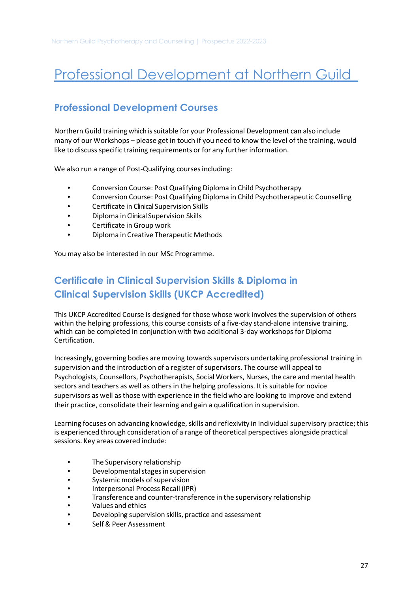## <span id="page-26-0"></span>**Professional Development Courses**

Northern Guild training which is suitable for your Professional Development can also include many of our Workshops – please get in touch if you need to know the level of the training, would like to discuss specific training requirements or for any further information.

We also run a range of Post-Qualifying courses including:

- Conversion Course: Post Qualifying Diploma in Child Psychotherapy
- Conversion Course: Post Qualifying Diploma in Child Psychotherapeutic Counselling
- Certificate in Clinical Supervision Skills
- Diploma in Clinical Supervision Skills
- Certificate in Group work
- Diploma in Creative Therapeutic Methods

You may also be interested in our MSc Programme.

## <span id="page-26-1"></span>**Certificate in Clinical Supervision Skills & Diploma in Clinical Supervision Skills (UKCP Accredited)**

This UKCP Accredited Course is designed for those whose work involves the supervision of others within the helping professions, this course consists of a five-day stand-alone intensive training, which can be completed in conjunction with two additional 3-day workshops for Diploma Certification.

Increasingly, governing bodies are moving towards supervisors undertaking professional training in supervision and the introduction of a register of supervisors. The course will appeal to Psychologists, Counsellors, Psychotherapists, Social Workers, Nurses, the care and mental health sectors and teachers as well as others in the helping professions. It is suitable for novice supervisors as well as those with experience in the field who are looking to improve and extend their practice, consolidate their learning and gain a qualification in supervision.

Learning focuses on advancing knowledge, skills and reflexivity in individual supervisory practice; this is experienced through consideration of a range of theoretical perspectives alongside practical sessions. Key areas covered include:

- The Supervisory relationship
- Developmental stages in supervision
- Systemic models of supervision
- Interpersonal Process Recall (IPR)
- Transference and counter-transference in the supervisory relationship
- Values and ethics
- Developing supervision skills, practice and assessment
- Self & Peer Assessment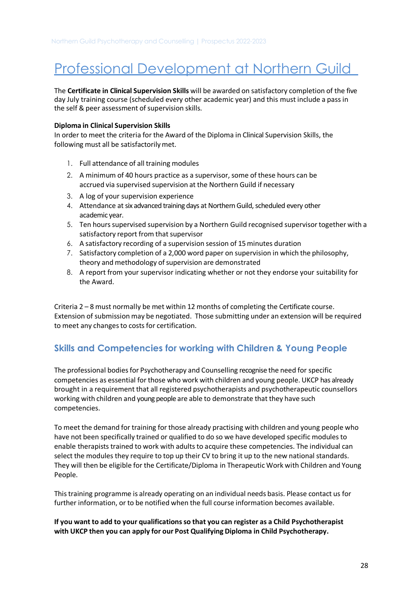The **Certificate in Clinical Supervision Skills** will be awarded on satisfactory completion of the five day July training course (scheduled every other academic year) and this must include a pass in the self & peer assessment of supervision skills.

#### **Diploma in Clinical Supervision Skills**

In order to meet the criteria for the Award of the Diploma in Clinical Supervision Skills, the following must all be satisfactorily met.

- 1. Full attendance of all training modules
- 2. A minimum of 40 hours practice as a supervisor, some of these hours can be accrued via supervised supervision at the Northern Guild if necessary
- 3. A log of your supervision experience
- 4. Attendance at six advanced training days at Northern Guild, scheduled every other academic year.
- 5. Ten hours supervised supervision by a Northern Guild recognised supervisor together with a satisfactory report from that supervisor
- 6. A satisfactory recording of a supervision session of 15 minutes duration
- 7. Satisfactory completion of a 2,000 word paper on supervision in which the philosophy, theory and methodology of supervision are demonstrated
- 8. A report from your supervisor indicating whether or not they endorse your suitability for the Award.

Criteria 2 – 8 must normally be met within 12 months of completing the Certificate course. Extension of submission may be negotiated. Those submitting under an extension will be required to meet any changes to costs for certification.

## <span id="page-27-0"></span>**Skills and Competencies for working with Children & Young People**

The professional bodies for Psychotherapy and Counselling recognise the need for specific competencies as essential for those who work with children and young people. UKCP has already brought in a requirement that all registered psychotherapists and psychotherapeutic counsellors working with children and young people are able to demonstrate that they have such competencies.

To meet the demand for training for those already practising with children and young people who have not been specifically trained or qualified to do so we have developed specific modules to enable therapists trained to work with adults to acquire these competencies. The individual can select the modules they require to top up their CV to bring it up to the new national standards. They will then be eligible for the Certificate/Diploma in Therapeutic Work with Children and Young People.

This training programme is already operating on an individual needs basis. Please contact us for further information, or to be notified when the full course information becomes available.

### **If you want to add to your qualifications so that you can register as a Child Psychotherapist with UKCP then you can apply for our Post Qualifying Diploma in Child Psychotherapy.**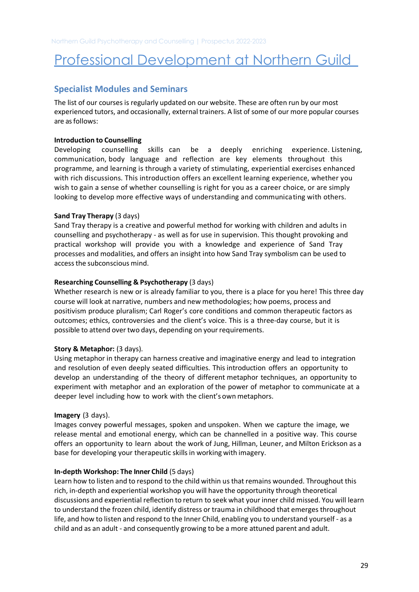## <span id="page-28-0"></span>**Specialist Modules and Seminars**

The list of our courses is regularly updated on ou[r website.](http://www.northernguild.org/) These are often run by our most experienced tutors, and occasionally, external trainers. A list of some of our more popular courses are as follows:

#### **Introduction to Counselling**

Developing counselling skills can be a deeply enriching experience. Listening, communication, body language and reflection are key elements throughout this programme, and learning is through a variety of stimulating, experiential exercises enhanced with rich discussions. This introduction offers an excellent learning experience, whether you wish to gain a sense of whether counselling is right for you as a career choice, or are simply looking to develop more effective ways of understanding and communicating with others.

### **Sand Tray Therapy** (3 days)

Sand Tray therapy is a creative and powerful method for working with children and adults in counselling and psychotherapy - as well as for use in supervision. This thought provoking and practical workshop will provide you with a knowledge and experience of Sand Tray processes and modalities, and offers an insight into how Sand Tray symbolism can be used to access the subconscious mind.

### **Researching Counselling & Psychotherapy** (3 days)

Whether research is new or is already familiar to you, there is a place for you here! This three dav course will look at narrative, numbers and new methodologies; how poems, process and positivism produce pluralism; Carl Roger's core conditions and common therapeutic factors as outcomes; ethics, controversies and the client's voice. This is a three-day course, but it is possible to attend over two days, depending on your requirements.

#### **Story & Metaphor: (3 days).**

Using metaphor in therapy can harness creative and imaginative energy and lead to integration and resolution of even deeply seated difficulties. This introduction offers an opportunity to develop an understanding of the theory of different metaphor techniques, an opportunity to experiment with metaphor and an exploration of the power of metaphor to communicate at a deeper level including how to work with the client's own metaphors.

#### **Imagery** (3 days).

Images convey powerful messages, spoken and unspoken. When we capture the image, we release mental and emotional energy, which can be channelled in a positive way. This course offers an opportunity to learn about the work of Jung, Hillman, Leuner, and Milton Erickson as a base for developing your therapeutic skills in working with imagery.

#### **In-depth Workshop: The Inner Child** (5 days)

Learn how to listen and to respond to the child within us that remains wounded. Throughout this rich, in-depth and experiential workshop you will have the opportunity through theoretical discussions and experiential reflection to return to seek what your inner child missed. You will learn to understand the frozen child, identify distress or trauma in childhood that emerges throughout life, and how to listen and respond to the Inner Child, enabling you to understand yourself - as a child and as an adult - and consequently growing to be a more attuned parent and adult.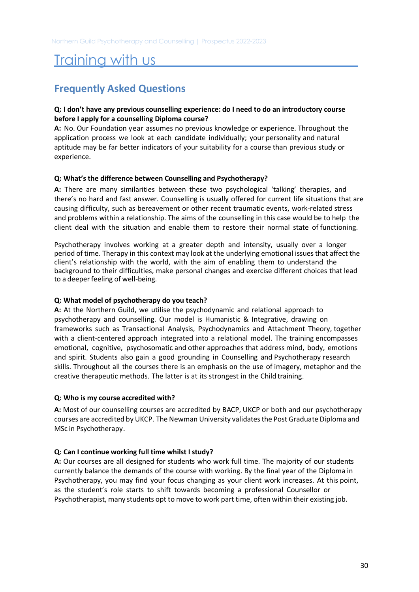## <span id="page-29-1"></span><span id="page-29-0"></span>**Frequently Asked Questions**

### **Q: I don't have any previous counselling experience: do I need to do an introductory course before I apply for a counselling Diploma course?**

**A:** No. Our Foundation year assumes no previous knowledge or experience. Throughout the application process we look at each candidate individually; your personality and natural aptitude may be far better indicators of your suitability for a course than previous study or experience.

### **Q: What's the difference between Counselling and Psychotherapy?**

**A:** There are many similarities between these two psychological 'talking' therapies, and there's no hard and fast answer. Counselling is usually offered for current life situations that are causing difficulty, such as bereavement or other recent traumatic events, work-related stress and problems within a relationship. The aims of the counselling in this case would be to help the client deal with the situation and enable them to restore their normal state of functioning.

Psychotherapy involves working at a greater depth and intensity, usually over a longer period of time. Therapy in this context may look at the underlying emotional issues that affect the client's relationship with the world, with the aim of enabling them to understand the background to their difficulties, make personal changes and exercise different choices that lead to a deeper feeling of well-being.

### **Q: What model of psychotherapy do you teach?**

**A:** At the Northern Guild, we utilise the psychodynamic and relational approach to psychotherapy and counselling. Our model is Humanistic & Integrative, drawing on frameworks such as Transactional Analysis, Psychodynamics and Attachment Theory, together with a client-centered approach integrated into a relational model. The training encompasses emotional, cognitive, psychosomatic and other approaches that address mind, body, emotions and spirit. Students also gain a good grounding in Counselling and Psychotherapy research skills. Throughout all the courses there is an emphasis on the use of imagery, metaphor and the creative therapeutic methods. The latter is at its strongest in the Child training.

### **Q: Who is my course accredited with?**

**A:** Most of our counselling courses are accredited by BACP, UKCP or both and our psychotherapy courses are accredited by UKCP. The Newman University validates the Post Graduate Diploma and MSc in Psychotherapy.

### **Q: Can I continue working full time whilst I study?**

**A:** Our courses are all designed for students who work full time. The majority of our students currently balance the demands of the course with working. By the final year of the Diploma in Psychotherapy, you may find your focus changing as your client work increases. At this point, as the student's role starts to shift towards becoming a professional Counsellor or Psychotherapist, many students opt to move to work part time, often within their existing job.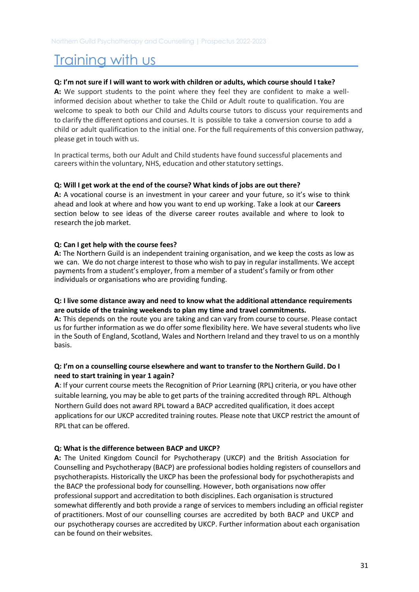### **Q: I'm not sure if I will want to work with children or adults, which course should I take?**

**A:** We support students to the point where they feel they are confident to make a wellinformed decision about whether to take the Child or Adult route to qualification. You are welcome to speak to both our Child and Adults course tutors to discuss your requirements and to clarify the different options and courses. It is possible to take a conversion course to add a child or adult qualification to the initial one. For the full requirements of this conversion pathway, please get in touch with us.

In practical terms, both our Adult and Child students have found successful placements and careers within the voluntary, NHS, education and other statutory settings.

### **Q: Will I get work at the end of the course? What kinds of jobs are out there?**

**A:** A vocational course is an investment in your career and your future, so it's wise to think ahead and look at where and how you want to end up working. Take a look at our **Careers** section below to see ideas of the diverse career routes available and where to look to research the job market.

### **Q: Can I get help with the course fees?**

**A:** The Northern Guild is an independent training organisation, and we keep the costs as low as we can. We do not charge interest to those who wish to pay in regular installments. We accept payments from a student's employer, from a member of a student's family or from other individuals or organisations who are providing funding.

### **Q: I live some distance away and need to know what the additional attendance requirements are outside of the training weekends to plan my time and travel commitments.**

**A:** This depends on the route you are taking and can vary from course to course. Please contact us for further information as we do offer some flexibility here. We have several students who live in the South of England, Scotland, Wales and Northern Ireland and they travel to us on a monthly basis.

### **Q: I'm on a counselling course elsewhere and want to transfer to the Northern Guild. Do I need to start training in year 1 again?**

**A**: If your current course meets the Recognition of Prior Learning (RPL) criteria, or you have other suitable learning, you may be able to get parts of the training accredited through RPL. Although Northern Guild does not award RPL toward a BACP accredited qualification, it does accept applications for our UKCP accredited training routes. Please note that UKCP restrict the amount of RPL that can be offered.

### **Q: What is the difference between BACP and UKCP?**

**A:** The United Kingdom Council for Psychotherapy (UKCP) and the British Association for Counselling and Psychotherapy (BACP) are professional bodies holding registers of counsellors and psychotherapists. Historically the UKCP has been the professional body for psychotherapists and the BACP the professional body for counselling. However, both organisations now offer professional support and accreditation to both disciplines. Each organisation is structured somewhat differently and both provide a range of services to members including an official register of practitioners. Most of our counselling courses are accredited by both BACP and UKCP and our psychotherapy courses are accredited by UKCP. Further information about each organisation can be found on their websites.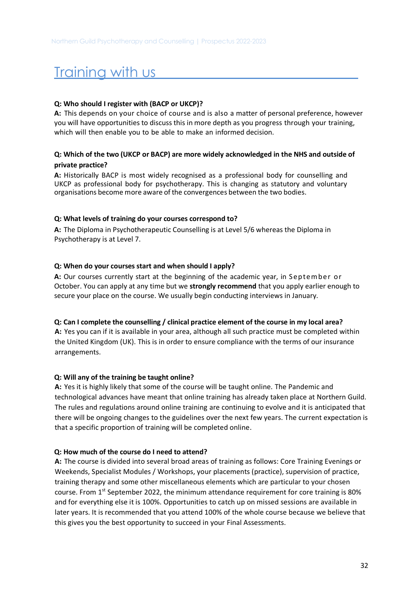### **Q: Who should I register with (BACP or UKCP)?**

**A:** This depends on your choice of course and is also a matter of personal preference, however you will have opportunities to discuss this in more depth as you progress through your training, which will then enable you to be able to make an informed decision.

### **Q: Which of the two (UKCP or BACP) are more widely acknowledged in the NHS and outside of private practice?**

**A:** Historically BACP is most widely recognised as a professional body for counselling and UKCP as professional body for psychotherapy. This is changing as statutory and voluntary organisations become more aware of the convergences between the two bodies.

### **Q: What levels of training do your courses correspond to?**

**A:** The Diploma in Psychotherapeutic Counselling is at Level 5/6 whereas the Diploma in Psychotherapy is at Level 7.

### **Q: When do your courses start and when should I apply?**

**A:** Our courses currently start at the beginning of the academic year, in September or October. You can apply at any time but we **strongly recommend** that you apply earlier enough to secure your place on the course. We usually begin conducting interviews in January.

#### **Q: Can I complete the counselling / clinical practice element of the course in my local area?**

**A:** Yes you can if it is available in your area, although all such practice must be completed within the United Kingdom (UK). This is in order to ensure compliance with the terms of our insurance arrangements.

### **Q: Will any of the training be taught online?**

**A:** Yes it is highly likely that some of the course will be taught online. The Pandemic and technological advances have meant that online training has already taken place at Northern Guild. The rules and regulations around online training are continuing to evolve and it is anticipated that there will be ongoing changes to the guidelines over the next few years. The current expectation is that a specific proportion of training will be completed online.

### **Q: How much of the course do I need to attend?**

**A:** The course is divided into several broad areas of training as follows: Core Training Evenings or Weekends, Specialist Modules / Workshops, your placements (practice), supervision of practice, training therapy and some other miscellaneous elements which are particular to your chosen course. From  $1<sup>st</sup>$  September 2022, the minimum attendance requirement for core training is 80% and for everything else it is 100%. Opportunities to catch up on missed sessions are available in later years. It is recommended that you attend 100% of the whole course because we believe that this gives you the best opportunity to succeed in your Final Assessments.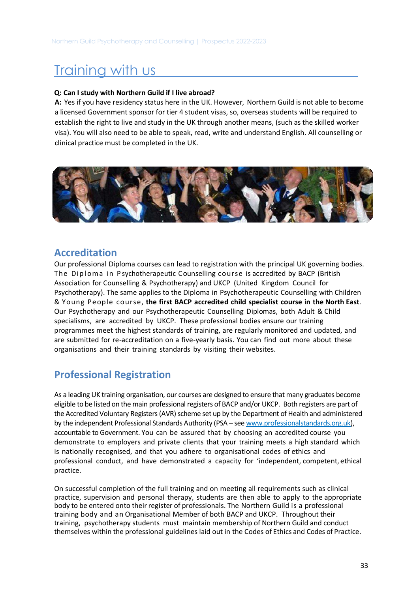### **Q: Can I study with Northern Guild if I live abroad?**

**A:** Yes if you have residency status here in the UK. However, Northern Guild is not able to become a licensed Government sponsor for tier 4 student visas, so, overseas students will be required to establish the right to live and study in the UK through another means, (such as the skilled worker visa). You will also need to be able to speak, read, write and understand English. All counselling or clinical practice must be completed in the UK.



## <span id="page-32-0"></span>**Accreditation**

Our professional Diploma courses can lead to registration with the principal UK governing bodies. The Diploma in P sychotherapeutic Counselling course is accredited by BACP (British Association for Counselling & Psychotherapy) and UKCP (United Kingdom Council for Psychotherapy). The same applies to the Diploma in Psychotherapeutic Counselling with Children & Young People course, **the first BACP accredited child specialist course in the North East**. Our Psychotherapy and our Psychotherapeutic Counselling Diplomas, both Adult & Child specialisms, are accredited by UKCP. These professional bodies ensure our training programmes meet the highest standards of training, are regularly monitored and updated, and are submitted for re-accreditation on a five-yearly basis. You can find out more about these organisations and their training standards by visiting their websites.

## <span id="page-32-1"></span>**Professional Registration**

As a leading UK training organisation, our courses are designed to ensure that many graduates become eligible to be listed on the main professional registers of BACP and/or UKCP. Both registers are part of the Accredited Voluntary Registers (AVR) scheme set up by the Department of Health and administered by the independent Professional Standards Authority (PSA – se[e www.professionalstandards.org.uk\)](http://www.professionalstandards.org.uk/), accountable to Government. You can be assured that by choosing an accredited course you demonstrate to employers and private clients that your training meets a high standard which is nationally recognised, and that you adhere to organisational codes of ethics and professional conduct, and have demonstrated a capacity for 'independent, competent, ethical practice.

On successful completion of the full training and on meeting all requirements such as clinical practice, supervision and personal therapy, students are then able to apply to the appropriate body to be entered onto their register of professionals. The Northern Guild is a professional training body and an Organisational Member of both BACP and UKCP. Throughout their training, psychotherapy students must maintain membership of Northern Guild and conduct themselves within the professional guidelines laid out in the Codes of Ethics and Codes of Practice.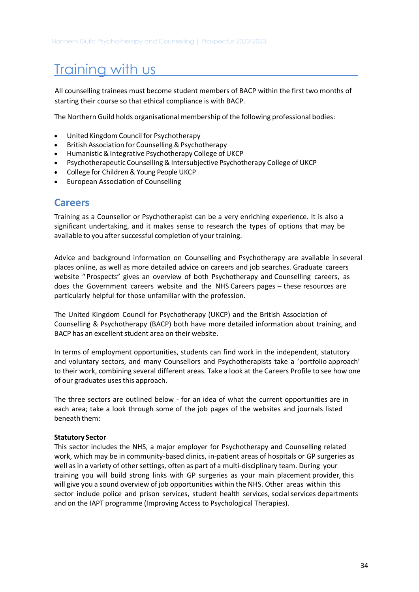All counselling trainees must become student members of BACP within the first two months of starting their course so that ethical compliance is with BACP.

The Northern Guild holds organisational membership of the following professional bodies:

- United Kingdom Council for Psychotherapy
- British Association for Counselling & Psychotherapy
- Humanistic & Integrative Psychotherapy College of UKCP
- Psychotherapeutic Counselling & Intersubjective Psychotherapy College of UKCP
- College for Children & Young People UKCP
- European Association of Counselling

### <span id="page-33-0"></span>**Careers**

Training as a Counsellor or Psychotherapist can be a very enriching experience. It is also a significant undertaking, and it makes sense to research the types of options that may be available to you after successful completion of your training.

Advice and background information on Counselling and Psychotherapy are available in several places online, as well as more detailed advice on careers and job searches. Graduate careers website "Prospects" gives an overview of both Psychotherapy and Counselling careers, as does the Government careers website and the NHS Careers pages – these resources are particularly helpful for those unfamiliar with the profession.

The United Kingdom Council for Psychotherapy (UKCP) and the British Association of Counselling & Psychotherapy (BACP) both have more detailed information about training, and BACP has an excellent student area on their website.

In terms of employment opportunities, students can find work in the independent, statutory and voluntary sectors, and many Counsellors and Psychotherapists take a 'portfolio approach' to their work, combining several different areas. Take a look at the Careers Profile to see how one of our graduates uses this approach.

The three sectors are outlined below - for an idea of what the current opportunities are in each area; take a look through some of the job pages of the websites and journals listed beneath them:

#### **Statutory Sector**

This sector includes the NHS, a major employer for Psychotherapy and Counselling related work, which may be in community-based clinics, in-patient areas of hospitals or GP surgeries as well as in a variety of other settings, often as part of a multi-disciplinary team. During your training you will build strong links with GP surgeries as your main placement provider, this will give you a sound overview of job opportunities within the NHS. Other areas within this sector include police and prison services, student health services, social services departments and on the IAPT programme (Improving Access to Psychological Therapies).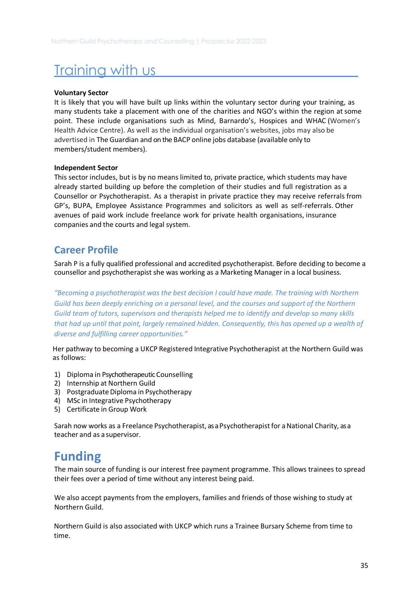### **Voluntary Sector**

It is likely that you will have built up links within the voluntary sector during your training, as many students take a placement with one of the charities and NGO's within the region at some point. These include organisations such as Mind, Barnardo's, Hospices and WHAC (Women's Health Advice Centre). As well as the individual organisation's websites, jobs may also be advertised in The Guardian and on the BACP online jobs database (available only to members/student members).

#### **Independent Sector**

This sector includes, but is by no means limited to, private practice, which students may have already started building up before the completion of their studies and full registration as a Counsellor or Psychotherapist. As a therapist in private practice they may receive referrals from GP's, BUPA, Employee Assistance Programmes and solicitors as well as self-referrals. Other avenues of paid work include freelance work for private health organisations, insurance companies and the courts and legal system.

## <span id="page-34-0"></span>**Career Profile**

Sarah P is a fully qualified professional and accredited psychotherapist. Before deciding to become a counsellor and psychotherapist she was working as a Marketing Manager in a local business.

*"Becoming a psychotherapist was the best decision I could have made. The training with Northern Guild has been deeply enriching on a personal level, and the courses and support of the Northern Guild team of tutors, supervisors and therapists helped me to identify and develop so many skills that had up until that point, largely remained hidden. Consequently, this has opened up a wealth of diverse and fulfilling career opportunities."*

Her pathway to becoming a UKCP Registered Integrative Psychotherapist at the Northern Guild was as follows:

- 1) Diploma in Psychotherapeutic Counselling
- 2) Internship at Northern Guild
- 3) Postgraduate Diploma in Psychotherapy
- 4) MSc in Integrative Psychotherapy
- 5) Certificate in Group Work

Sarah now works as a Freelance Psychotherapist, as a Psychotherapist for a National Charity, as a teacher and as a supervisor.

## <span id="page-34-1"></span>**Funding**

The main source of funding is our interest free payment programme. This allows trainees to spread their fees over a period of time without any interest being paid.

We also accept payments from the employers, families and friends of those wishing to study at Northern Guild.

 Northern Guild is also associated with UKCP which runs a Trainee Bursary Scheme from time to time.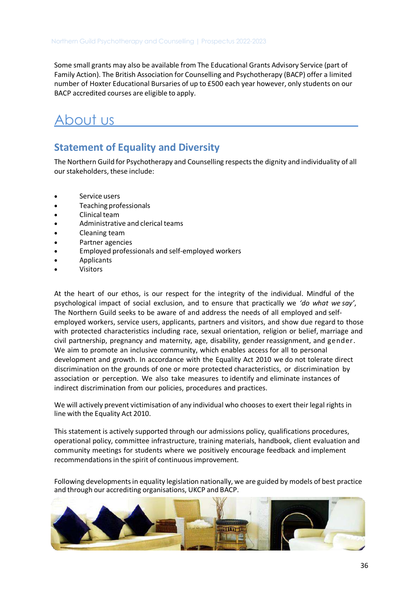Some small grants may also be available from The Educational Grants Advisory Service (part of Family Action). The British Association for Counselling and Psychotherapy (BACP) offer a limited number of Hoxter Educational Bursaries of up to £500 each year however, only students on our BACP accredited courses are eligible to apply.

## <span id="page-35-0"></span>About us

## <span id="page-35-1"></span>**Statement of Equality and Diversity**

The Northern Guild for Psychotherapy and Counselling respects the dignity and individuality of all our stakeholders, these include:

- Service users
- Teaching professionals
- Clinical team
- Administrative and clerical teams
- Cleaning team
- Partner agencies
- Employed professionals and self-employed workers
- Applicants
- **Visitors**

At the heart of our ethos, is our respect for the integrity of the individual. Mindful of the psychological impact of social exclusion, and to ensure that practically we *'do what we say'*, The Northern Guild seeks to be aware of and address the needs of all employed and selfemployed workers, service users, applicants, partners and visitors, and show due regard to those with protected characteristics including race, sexual orientation, religion or belief, marriage and civil partnership, pregnancy and maternity, age, disability, gender reassignment, and gender. We aim to promote an inclusive community, which enables access for all to personal development and growth. In accordance with the Equality Act 2010 we do not tolerate direct discrimination on the grounds of one or more protected characteristics, or discrimination by association or perception. We also take measures to identify and eliminate instances of indirect discrimination from our policies, procedures and practices.

We will actively prevent victimisation of any individual who chooses to exert their legal rights in line with the Equality Act 2010.

This statement is actively supported through our admissions policy, qualifications procedures, operational policy, committee infrastructure, training materials, handbook, client evaluation and community meetings for students where we positively encourage feedback and implement recommendations in the spirit of continuous improvement.

Following developments in equality legislation nationally, we are guided by models of best practice and through our accrediting organisations, UKCP and BACP.

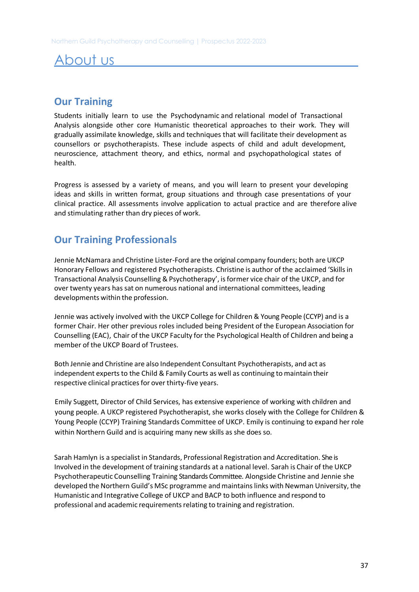## <span id="page-36-0"></span>About us

## **Our Training**

Students initially learn to use the Psychodynamic and relational model of Transactional Analysis alongside other core Humanistic theoretical approaches to their work. They will gradually assimilate knowledge, skills and techniques that will facilitate their development as counsellors or psychotherapists. These include aspects of child and adult development, neuroscience, attachment theory, and ethics, normal and psychopathological states of health.

Progress is assessed by a variety of means, and you will learn to present your developing ideas and skills in written format, group situations and through case presentations of your clinical practice. All assessments involve application to actual practice and are therefore alive and stimulating rather than dry pieces of work.

## <span id="page-36-1"></span>**Our Training Professionals**

Jennie McNamara and Christine Lister-Ford are the original company founders; both are UKCP Honorary Fellows and registered Psychotherapists. Christine is author of the acclaimed 'Skills in Transactional Analysis Counselling & Psychotherapy', is former vice chair of the UKCP, and for over twenty years has sat on numerous national and international committees, leading developments within the profession.

Jennie was actively involved with the UKCP College for Children & Young People (CCYP) and is a former Chair. Her other previous roles included being President of the European Association for Counselling (EAC), Chair of the UKCP Faculty for the Psychological Health of Children and being a member of the UKCP Board of Trustees.

Both Jennie and Christine are also Independent Consultant Psychotherapists, and act as independent experts to the Child & Family Courts as well as continuing to maintain their respective clinical practices for over thirty-five years.

Emily Suggett, Director of Child Services, has extensive experience of working with children and young people. A UKCP registered Psychotherapist, she works closely with the College for Children & Young People (CCYP) Training Standards Committee of UKCP. Emily is continuing to expand her role within Northern Guild and is acquiring many new skills as she does so.

Sarah Hamlyn is a specialist in Standards, Professional Registration and Accreditation. She is Involved in the development of training standards at a national level. Sarah is Chair of the UKCP Psychotherapeutic Counselling Training Standards Committee. Alongside Christine and Jennie she developed the Northern Guild's MSc programme and maintains links with Newman University, the Humanistic and Integrative College of UKCP and BACP to both influence and respond to professional and academic requirements relating to training and registration.